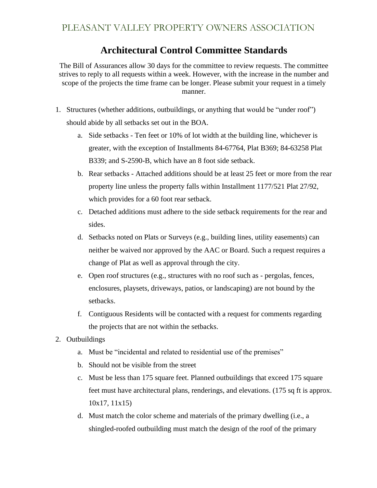## **Architectural Control Committee Standards**

The Bill of Assurances allow 30 days for the committee to review requests. The committee strives to reply to all requests within a week. However, with the increase in the number and scope of the projects the time frame can be longer. Please submit your request in a timely manner.

- 1. Structures (whether additions, outbuildings, or anything that would be "under roof") should abide by all setbacks set out in the BOA.
	- a. Side setbacks Ten feet or 10% of lot width at the building line, whichever is greater, with the exception of Installments 84-67764, Plat B369; 84-63258 Plat B339; and S-2590-B, which have an 8 foot side setback.
	- b. Rear setbacks Attached additions should be at least 25 feet or more from the rear property line unless the property falls within Installment 1177/521 Plat 27/92, which provides for a 60 foot rear setback.
	- c. Detached additions must adhere to the side setback requirements for the rear and sides.
	- d. Setbacks noted on Plats or Surveys (e.g., building lines, utility easements) can neither be waived nor approved by the AAC or Board. Such a request requires a change of Plat as well as approval through the city.
	- e. Open roof structures (e.g., structures with no roof such as pergolas, fences, enclosures, playsets, driveways, patios, or landscaping) are not bound by the setbacks.
	- f. Contiguous Residents will be contacted with a request for comments regarding the projects that are not within the setbacks.
- 2. Outbuildings
	- a. Must be "incidental and related to residential use of the premises"
	- b. Should not be visible from the street
	- c. Must be less than 175 square feet. Planned outbuildings that exceed 175 square feet must have architectural plans, renderings, and elevations. (175 sq ft is approx. 10x17, 11x15)
	- d. Must match the color scheme and materials of the primary dwelling (i.e., a shingled-roofed outbuilding must match the design of the roof of the primary